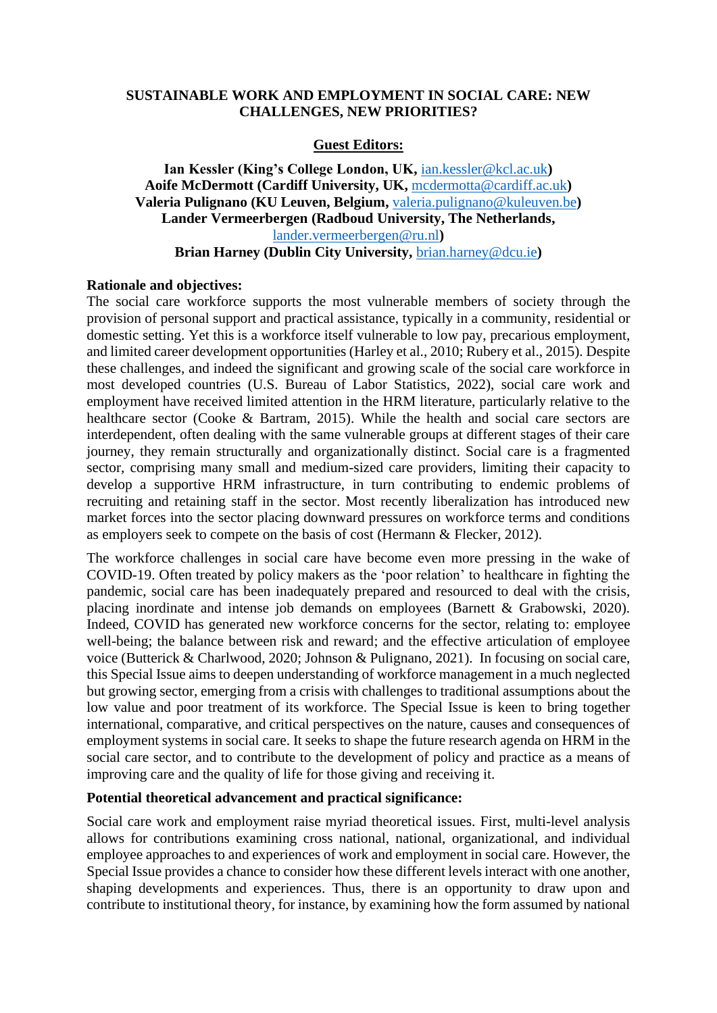## **SUSTAINABLE WORK AND EMPLOYMENT IN SOCIAL CARE: NEW CHALLENGES, NEW PRIORITIES?**

# **Guest Editors:**

# **Ian Kessler (King's College London, UK,** [ian.kessler@kcl.ac.uk](mailto:ian.kessler@kcl.ac.uk)**) Aoife McDermott (Cardiff University, UK,** [mcdermotta@cardiff.ac.uk](mailto:mcdermotta@cardiff.ac.uk)**) Valeria Pulignano (KU Leuven, Belgium,** [valeria.pulignano@kuleuven.be](mailto:valeria.pulignano@kuleuven.be)**) Lander Vermeerbergen (Radboud University, The Netherlands,**  [lander.vermeerbergen@ru.nl](mailto:lander.vermeerbergen@ru.nl)**) Brian Harney (Dublin City University,** [brian.harney@dcu.ie](mailto:brian.harney@dcu.ie)**)**

#### **Rationale and objectives:**

The social care workforce supports the most vulnerable members of society through the provision of personal support and practical assistance, typically in a community, residential or domestic setting. Yet this is a workforce itself vulnerable to low pay, precarious employment, and limited career development opportunities (Harley et al., 2010; Rubery et al., 2015). Despite these challenges, and indeed the significant and growing scale of the social care workforce in most developed countries (U.S. Bureau of Labor Statistics, 2022), social care work and employment have received limited attention in the HRM literature, particularly relative to the healthcare sector (Cooke & Bartram, 2015). While the health and social care sectors are interdependent, often dealing with the same vulnerable groups at different stages of their care journey, they remain structurally and organizationally distinct. Social care is a fragmented sector, comprising many small and medium-sized care providers, limiting their capacity to develop a supportive HRM infrastructure, in turn contributing to endemic problems of recruiting and retaining staff in the sector. Most recently liberalization has introduced new market forces into the sector placing downward pressures on workforce terms and conditions as employers seek to compete on the basis of cost (Hermann & Flecker, 2012).

The workforce challenges in social care have become even more pressing in the wake of COVID-19. Often treated by policy makers as the 'poor relation' to healthcare in fighting the pandemic, social care has been inadequately prepared and resourced to deal with the crisis, placing inordinate and intense job demands on employees (Barnett & Grabowski, 2020). Indeed, COVID has generated new workforce concerns for the sector, relating to: employee well-being; the balance between risk and reward; and the effective articulation of employee voice (Butterick & Charlwood, 2020; Johnson & Pulignano, 2021). In focusing on social care, this Special Issue aims to deepen understanding of workforce management in a much neglected but growing sector, emerging from a crisis with challenges to traditional assumptions about the low value and poor treatment of its workforce. The Special Issue is keen to bring together international, comparative, and critical perspectives on the nature, causes and consequences of employment systems in social care. It seeks to shape the future research agenda on HRM in the social care sector, and to contribute to the development of policy and practice as a means of improving care and the quality of life for those giving and receiving it.

### **Potential theoretical advancement and practical significance:**

Social care work and employment raise myriad theoretical issues. First, multi-level analysis allows for contributions examining cross national, national, organizational, and individual employee approaches to and experiences of work and employment in social care. However, the Special Issue provides a chance to consider how these different levels interact with one another, shaping developments and experiences. Thus, there is an opportunity to draw upon and contribute to institutional theory, for instance, by examining how the form assumed by national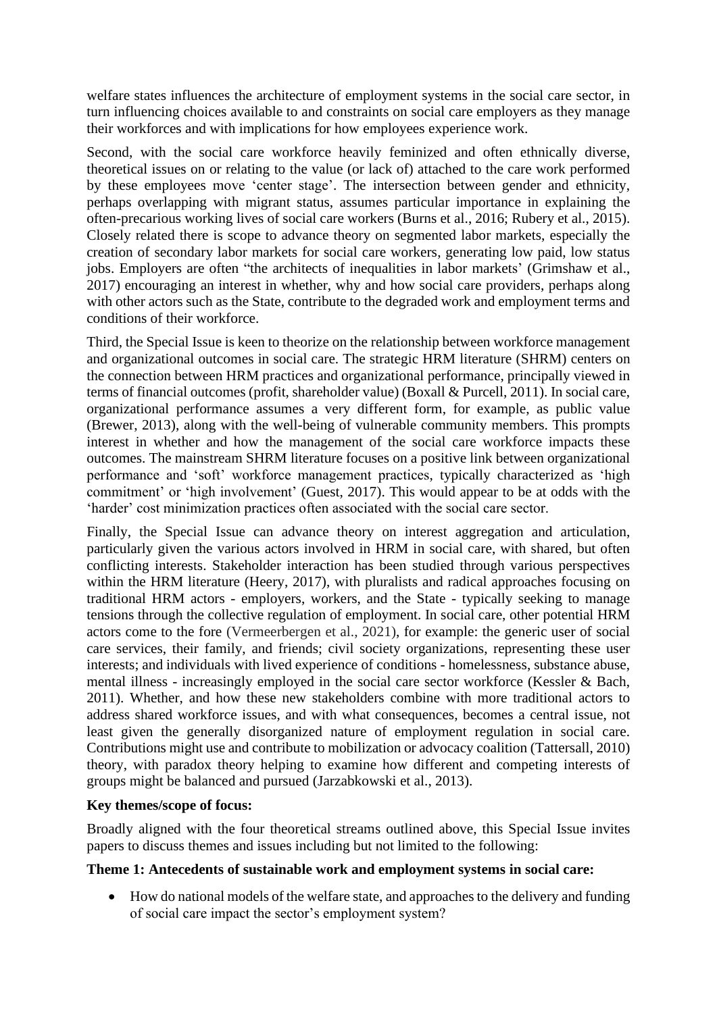welfare states influences the architecture of employment systems in the social care sector, in turn influencing choices available to and constraints on social care employers as they manage their workforces and with implications for how employees experience work.

Second, with the social care workforce heavily feminized and often ethnically diverse, theoretical issues on or relating to the value (or lack of) attached to the care work performed by these employees move 'center stage'. The intersection between gender and ethnicity, perhaps overlapping with migrant status, assumes particular importance in explaining the often-precarious working lives of social care workers (Burns et al., 2016; Rubery et al., 2015). Closely related there is scope to advance theory on segmented labor markets, especially the creation of secondary labor markets for social care workers, generating low paid, low status jobs. Employers are often "the architects of inequalities in labor markets' (Grimshaw et al., 2017) encouraging an interest in whether, why and how social care providers, perhaps along with other actors such as the State, contribute to the degraded work and employment terms and conditions of their workforce.

Third, the Special Issue is keen to theorize on the relationship between workforce management and organizational outcomes in social care. The strategic HRM literature (SHRM) centers on the connection between HRM practices and organizational performance, principally viewed in terms of financial outcomes (profit, shareholder value) (Boxall & Purcell, 2011). In social care, organizational performance assumes a very different form, for example, as public value (Brewer, 2013), along with the well-being of vulnerable community members. This prompts interest in whether and how the management of the social care workforce impacts these outcomes. The mainstream SHRM literature focuses on a positive link between organizational performance and 'soft' workforce management practices, typically characterized as 'high commitment' or 'high involvement' (Guest, 2017). This would appear to be at odds with the 'harder' cost minimization practices often associated with the social care sector.

Finally, the Special Issue can advance theory on interest aggregation and articulation, particularly given the various actors involved in HRM in social care, with shared, but often conflicting interests. Stakeholder interaction has been studied through various perspectives within the HRM literature (Heery, 2017), with pluralists and radical approaches focusing on traditional HRM actors - employers, workers, and the State - typically seeking to manage tensions through the collective regulation of employment. In social care, other potential HRM actors come to the fore (Vermeerbergen et al., 2021), for example: the generic user of social care services, their family, and friends; civil society organizations, representing these user interests; and individuals with lived experience of conditions - homelessness, substance abuse, mental illness - increasingly employed in the social care sector workforce (Kessler & Bach, 2011). Whether, and how these new stakeholders combine with more traditional actors to address shared workforce issues, and with what consequences, becomes a central issue, not least given the generally disorganized nature of employment regulation in social care. Contributions might use and contribute to mobilization or advocacy coalition (Tattersall, 2010) theory, with paradox theory helping to examine how different and competing interests of groups might be balanced and pursued (Jarzabkowski et al., 2013).

### **Key themes/scope of focus:**

Broadly aligned with the four theoretical streams outlined above, this Special Issue invites papers to discuss themes and issues including but not limited to the following:

# **Theme 1: Antecedents of sustainable work and employment systems in social care:**

• How do national models of the welfare state, and approaches to the delivery and funding of social care impact the sector's employment system?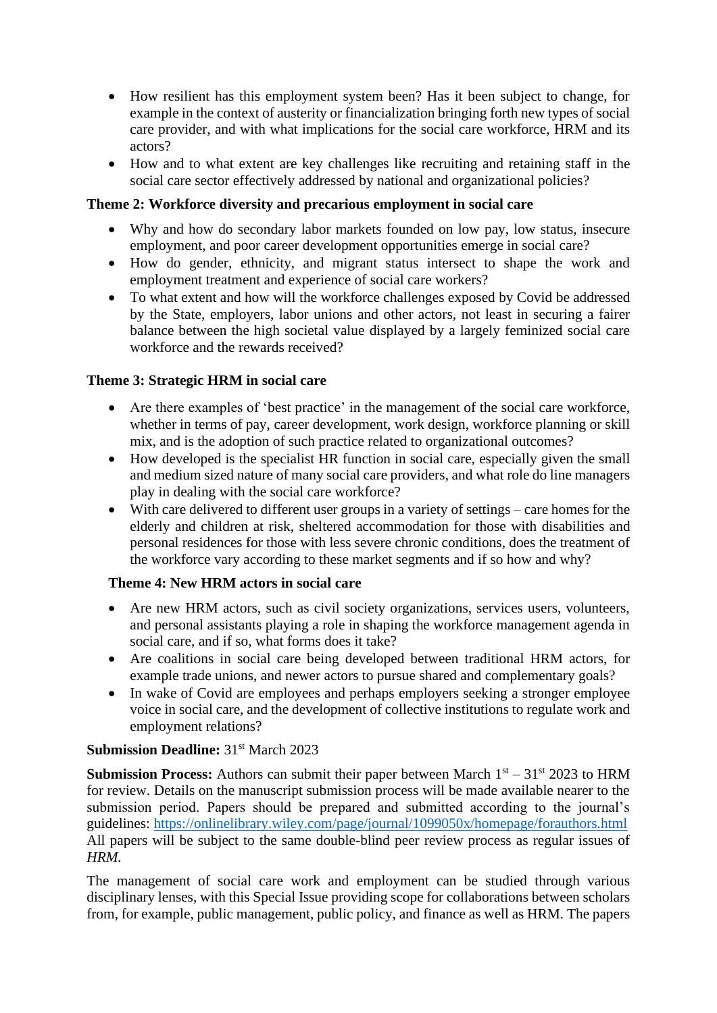- How resilient has this employment system been? Has it been subject to change, for example in the context of austerity or financialization bringing forth new types of social care provider, and with what implications for the social care workforce, HRM and its actors?
- How and to what extent are key challenges like recruiting and retaining staff in the social care sector effectively addressed by national and organizational policies?

# **Theme 2: Workforce diversity and precarious employment in social care**

- Why and how do secondary labor markets founded on low pay, low status, insecure employment, and poor career development opportunities emerge in social care?
- How do gender, ethnicity, and migrant status intersect to shape the work and employment treatment and experience of social care workers?
- To what extent and how will the workforce challenges exposed by Covid be addressed by the State, employers, labor unions and other actors, not least in securing a fairer balance between the high societal value displayed by a largely feminized social care workforce and the rewards received?

# **Theme 3: Strategic HRM in social care**

- Are there examples of 'best practice' in the management of the social care workforce, whether in terms of pay, career development, work design, workforce planning or skill mix, and is the adoption of such practice related to organizational outcomes?
- How developed is the specialist HR function in social care, especially given the small and medium sized nature of many social care providers, and what role do line managers play in dealing with the social care workforce?
- With care delivered to different user groups in a variety of settings care homes for the elderly and children at risk, sheltered accommodation for those with disabilities and personal residences for those with less severe chronic conditions, does the treatment of the workforce vary according to these market segments and if so how and why?

### **Theme 4: New HRM actors in social care**

- Are new HRM actors, such as civil society organizations, services users, volunteers, and personal assistants playing a role in shaping the workforce management agenda in social care, and if so, what forms does it take?
- Are coalitions in social care being developed between traditional HRM actors, for example trade unions, and newer actors to pursue shared and complementary goals?
- In wake of Covid are employees and perhaps employers seeking a stronger employee voice in social care, and the development of collective institutions to regulate work and employment relations?

### **Submission Deadline:** 31<sup>st</sup> March 2023

**Submission Process:** Authors can submit their paper between March  $1<sup>st</sup> - 31<sup>st</sup>$  2023 to HRM for review. Details on the manuscript submission process will be made available nearer to the submission period. Papers should be prepared and submitted according to the journal's guidelines: <https://onlinelibrary.wiley.com/page/journal/1099050x/homepage/forauthors.html> All papers will be subject to the same double-blind peer review process as regular issues of *HRM.*

The management of social care work and employment can be studied through various disciplinary lenses, with this Special Issue providing scope for collaborations between scholars from, for example, public management, public policy, and finance as well as HRM. The papers